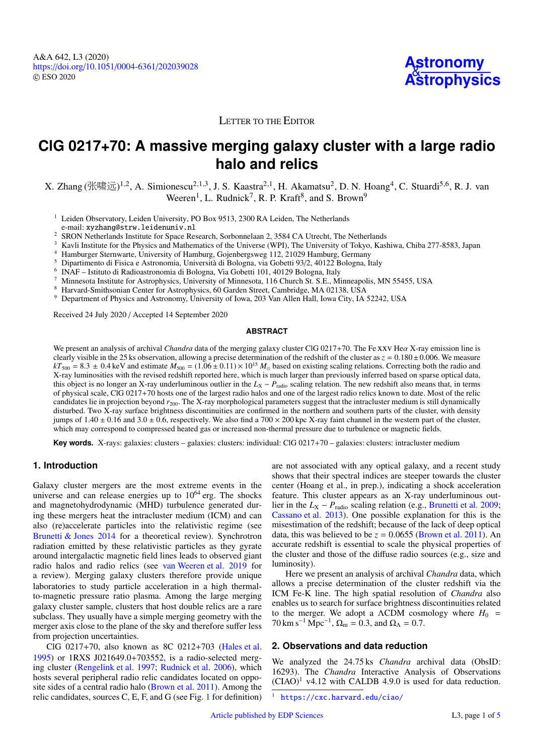

# LETTER TO THE EDITOR

# **ClG 0217+70: A massive merging galaxy cluster with a large radio halo and relics**

X. Zhang (张啸远)<sup>[1](#page-0-0)[,2](#page-0-1)</sup>, A. Simionescu<sup>[2](#page-0-1)[,1](#page-0-0)[,3](#page-0-2)</sup>, J. S. Kaastra<sup>2,1</sup>, H. Akamatsu<sup>2</sup>, D. N. Hoang<sup>[4](#page-0-3)</sup>, C. Stuardi<sup>[5](#page-0-4)[,6](#page-0-5)</sup>, R. J. van<br>Weeren<sup>1</sup> J. Budnick<sup>7</sup> R. P. Kraft<sup>8</sup> and S. Brown<sup>9</sup> Weeren<sup>[1](#page-0-0)</sup>, L. Rudnick<sup>[7](#page-0-6)</sup>, R. P. Kraft<sup>[8](#page-0-7)</sup>, and S. Brown<sup>[9](#page-0-8)</sup>

- <span id="page-0-0"></span> $<sup>1</sup>$  Leiden Observatory, Leiden University, PO Box 9513, 2300 RA Leiden, The Netherlands</sup> e-mail: xyzhang@strw.leidenuniv.nl
- <sup>2</sup> SRON Netherlands Institute for Space Research, Sorbonnelaan 2, 3584 CA Utrecht, The Netherlands
- <span id="page-0-2"></span><span id="page-0-1"></span><sup>3</sup> Kavli Institute for the Physics and Mathematics of the Universe (WPI), The University of Tokyo, Kashiwa, Chiba 277-8583, Japan
- <span id="page-0-3"></span><sup>4</sup> Hamburger Sternwarte, University of Hamburg, Gojenbergsweg 112, 21029 Hamburg, Germany
- <span id="page-0-4"></span><sup>5</sup> Dipartimento di Fisica e Astronomia, Università di Bologna, via Gobetti 93/2, 40122 Bologna, Italy
- <span id="page-0-5"></span>6 INAF – Istituto di Radioastronomia di Bologna, Via Gobetti 101, 40129 Bologna, Italy
- <span id="page-0-6"></span><sup>7</sup> Minnesota Institute for Astrophysics, University of Minnesota, 116 Church St. S.E., Minneapolis, MN 55455, USA
- <span id="page-0-7"></span>8 Harvard-Smithsonian Center for Astrophysics, 60 Garden Street, Cambridge, MA 02138, USA
- <span id="page-0-8"></span><sup>9</sup> Department of Physics and Astronomy, University of Iowa, 203 Van Allen Hall, Iowa City, IA 52242, USA

Received 24 July 2020 / Accepted 14 September 2020

#### **ABSTRACT**

We present an analysis of archival *Chandra* data of the merging galaxy cluster ClG 0217+70. The Fe xxv Heα X-ray emission line is clearly visible in the 25 ks observation, allowing a precise determination of the redshift of the cluster as  $z = 0.180 \pm 0.006$ . We measure  $kT<sub>500</sub> = 8.3 + 0.4$  keV and estimate  $M<sub>500</sub> = (1.06 + 0.11) \times 10^{15}$   $M$  $kT_{500} = 8.3 \pm 0.4$  keV and estimate  $M_{500} = (1.06 \pm 0.11) \times 10^{15}$   $M_{\odot}$  based on existing scaling relations. Correcting both the radio and  $X$ -ray luminosities with the revised redshift reported here, which is much X-ray luminosities with the revised redshift reported here, which is much larger than previously inferred based on sparse optical data, this object is no longer an X-ray underluminous outlier in the  $L_X - P_{\text{radio}}$  scaling relation. The new redshift also means that, in terms of physical scale, ClG 0217+70 hosts one of the largest radio halos and one of the largest radio relics known to date. Most of the relic candidates lie in projection beyond  $r_{200}$ . The X-ray morphological parameters suggest that the intracluster medium is still dynamically disturbed. Two X-ray surface brightness discontinuities are confirmed in the northern and southern parts of the cluster, with density jumps of  $1.40 \pm 0.16$  and  $3.0 \pm 0.6$ , respectively. We also find a  $700 \times 200$  kpc X-ray faint channel in the western part of the cluster, which may correspond to compressed heated gas or increased non-thermal pressure due to turbulence or magnetic fields.

Key words. X-rays: galaxies: clusters – galaxies: clusters: individual: CIG 0217+70 – galaxies: clusters: intracluster medium

# **1. Introduction**

Galaxy cluster mergers are the most extreme events in the universe and can release energies up to  $10^{64}$  erg. The shocks and magnetohydrodynamic (MHD) turbulence generated during these mergers heat the intracluster medium (ICM) and can also (re)accelerate particles into the relativistic regime (see [Brunetti & Jones](#page-4-0) [2014](#page-4-0) for a theoretical review). Synchrotron radiation emitted by these relativistic particles as they gyrate around intergalactic magnetic field lines leads to observed giant radio halos and radio relics (see [van Weeren et al.](#page-4-1) [2019](#page-4-1) for a review). Merging galaxy clusters therefore provide unique laboratories to study particle acceleration in a high thermalto-magnetic pressure ratio plasma. Among the large merging galaxy cluster sample, clusters that host double relics are a rare subclass. They usually have a simple merging geometry with the merger axis close to the plane of the sky and therefore suffer less from projection uncertainties.

ClG 0217+70, also known as 8C 0212+703 [\(Hales et al.](#page-4-2) [1995\)](#page-4-2) or 1RXS J021649.0+703552, is a radio-selected merging cluster [\(Rengelink et al.](#page-4-3) [1997;](#page-4-3) [Rudnick et al.](#page-4-4) [2006\)](#page-4-4), which hosts several peripheral radio relic candidates located on opposite sides of a central radio halo [\(Brown et al.](#page-4-5) [2011\)](#page-4-5). Among the relic candidates, sources C, E, F, and G (see Fig. [1](#page-1-0) for definition)

are not associated with any optical galaxy, and a recent study shows that their spectral indices are steeper towards the cluster center (Hoang et al., in prep.), indicating a shock acceleration feature. This cluster appears as an X-ray underluminous outlier in the  $L_X - P_{\text{radio}}$  scaling relation (e.g., [Brunetti et al.](#page-4-6) [2009;](#page-4-6) [Cassano et al.](#page-4-7) [2013\)](#page-4-7). One possible explanation for this is the misestimation of the redshift; because of the lack of deep optical data, this was believed to be  $z = 0.0655$  [\(Brown et al.](#page-4-5) [2011\)](#page-4-5). An accurate redshift is essential to scale the physical properties of the cluster and those of the diffuse radio sources (e.g., size and luminosity).

Here we present an analysis of archival *Chandra* data, which allows a precise determination of the cluster redshift via the ICM Fe-K line. The high spatial resolution of *Chandra* also enables us to search for surface brightness discontinuities related to the merger. We adopt a  $\Lambda$ CDM cosmology where  $H_0$  =  $70 \text{ km s}^{-1} \text{ Mpc}^{-1}$ ,  $\Omega_{\text{m}} = 0.3$ , and  $\Omega_{\Lambda} = 0.7$ .

## **2. Observations and data reduction**

We analyzed the 24.75 ks *Chandra* archival data (ObsID: 16293). The *Chandra* Interactive Analysis of Observations  $(CIAO)^1$  $(CIAO)^1$  v4.12 with CALDB 4.9.0 is used for data reduction.

<span id="page-0-9"></span><https://cxc.harvard.edu/ciao/>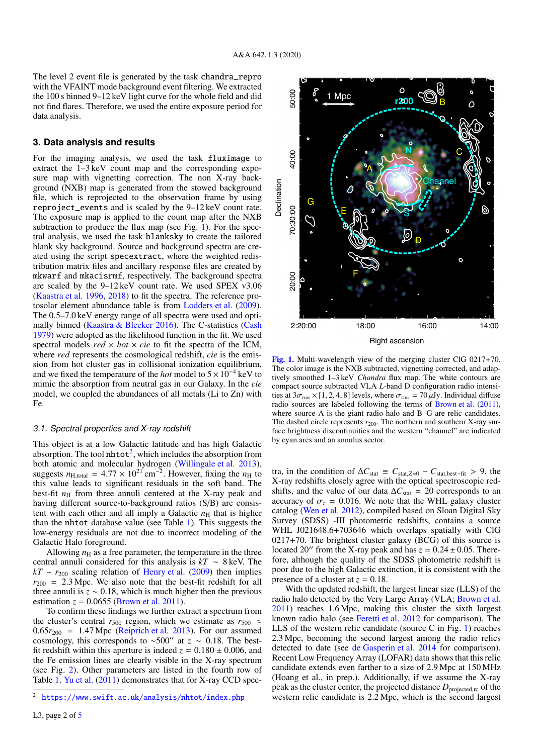The level 2 event file is generated by the task chandra\_repro with the VFAINT mode background event filtering. We extracted the 100 s binned 9–12 keV light curve for the whole field and did not find flares. Therefore, we used the entire exposure period for data analysis.

#### **3. Data analysis and results**

For the imaging analysis, we used the task fluximage to extract the 1–3 keV count map and the corresponding exposure map with vignetting correction. The non X-ray background (NXB) map is generated from the stowed background file, which is reprojected to the observation frame by using reproject\_events and is scaled by the 9–12 keV count rate. The exposure map is applied to the count map after the NXB subtraction to produce the flux map (see Fig. [1\)](#page-1-0). For the spectral analysis, we used the task blanksky to create the tailored blank sky background. Source and background spectra are created using the script specextract, where the weighted redistribution matrix files and ancillary response files are created by mkwarf and mkacisrmf, respectively. The background spectra are scaled by the 9–12 keV count rate. We used SPEX v3.06 [\(Kaastra et al.](#page-4-9) [1996,](#page-4-9) [2018\)](#page-4-10) to fit the spectra. The reference protosolar element abundance table is from [Lodders et al.](#page-4-11) [\(2009\)](#page-4-11). The 0.5–7.0 keV energy range of all spectra were used and optimally binned [\(Kaastra & Bleeker](#page-4-12) [2016\)](#page-4-12). The C-statistics [\(Cash](#page-4-13) [1979\)](#page-4-13) were adopted as the likelihood function in the fit. We used spectral models  $red \times hot \times cie$  to fit the spectra of the ICM, where *red* represents the cosmological redshift, *cie* is the emission from hot cluster gas in collisional ionization equilibrium, and we fixed the temperature of the *hot* model to 5×10<sup>−</sup><sup>4</sup> keV to mimic the absorption from neutral gas in our Galaxy. In the *cie* model, we coupled the abundances of all metals (Li to Zn) with Fe.

# 3.1. Spectral properties and X-ray redshift

This object is at a low Galactic latitude and has high Galactic absorption. The tool  $n$ htot<sup>[2](#page-1-1)</sup>, which includes the absorption from both atomic and molecular hydrogen [\(Willingale et al.](#page-4-14) [2013\)](#page-4-14), suggests  $n_{\text{H,total}} = 4.77 \times 10^{21} \text{ cm}^{-2}$ . However, fixing the  $n_{\text{H}}$  to this value leads to significant residuals in the soft band. The this value leads to significant residuals in the soft band. The best-fit  $n<sub>H</sub>$  from three annuli centered at the X-ray peak and having different source-to-background ratios (S/B) are consistent with each other and all imply a Galactic  $n<sub>H</sub>$  that is higher than the nhtot database value (see Table [1\)](#page-2-0). This suggests the low-energy residuals are not due to incorrect modeling of the Galactic Halo foreground.

Allowing  $n<sub>H</sub>$  as a free parameter, the temperature in the three central annuli considered for this analysis is *kT* ∼ 8 keV. The  $kT - r_{200}$  scaling relation of [Henry et al.](#page-4-15) [\(2009\)](#page-4-15) then implies  $r_{200}$  = 2.3 Mpc. We also note that the best-fit redshift for all three annuli is  $z \sim 0.18$ , which is much higher then the previous estimation  $z = 0.0655$  [\(Brown et al.](#page-4-5) [2011\)](#page-4-5).

To confirm these findings we further extract a spectrum from the cluster's central  $r_{500}$  region, which we estimate as  $r_{500} \approx$  $0.65r_{200} = 1.47$  Mpc [\(Reiprich et al.](#page-4-16) [2013\)](#page-4-16). For our assumed cosmology, this corresponds to ~500" at  $z \sim 0.18$ . The bestfit redshift within this aperture is indeed  $z = 0.180 \pm 0.006$ , and the Fe emission lines are clearly visible in the X-ray spectrum (see Fig. [2\)](#page-2-1). Other parameters are listed in the fourth row of Table [1.](#page-2-0) [Yu et al.](#page-4-17) [\(2011\)](#page-4-17) demonstrates that for X-ray CCD spec-



1 Mpc

**r200**

B

<span id="page-1-0"></span>compact source subtracted VLA *L*-band D configuration radio intensities at  $3\sigma_{\rm rms} \times [1, 2, 4, 8]$  levels, where  $\sigma_{\rm rms} = 70 \,\mu{\rm Jy}$ . Individual diffuse radio sources are labeled following the terms of [Brown et al.](#page-4-5) [\(2011\)](#page-4-5), where source A is the giant radio halo and B–G are relic candidates. The dashed circle represents  $r_{200}$ . The northern and southern X-ray surface brightness discontinuities and the western "channel" are indicated by cyan arcs and an annulus sector.

tra, in the condition of  $\Delta C_{\text{stat}} \equiv C_{\text{stat},Z=0} - C_{\text{stat},\text{best-fit}} > 9$ , the X-ray redshifts closely agree with the optical spectroscopic redshifts, and the value of our data  $\Delta C_{\text{stat}} = 20$  corresponds to an accuracy of  $\sigma_z$  = 0.016. We note that the WHL galaxy cluster catalog [\(Wen et al.](#page-4-18) [2012\)](#page-4-18), compiled based on Sloan Digital Sky Survey (SDSS) -III photometric redshifts, contains a source WHL J021648.6+703646 which overlaps spatially with ClG 0217+70. The brightest cluster galaxy (BCG) of this source is located 20<sup> $\prime\prime$ </sup> from the X-ray peak and has  $z = 0.24 \pm 0.05$ . Therefore, although the quality of the SDSS photometric redshift is poor due to the high Galactic extinction, it is consistent with the presence of a cluster at  $z = 0.18$ .

With the updated redshift, the largest linear size (LLS) of the radio halo detected by the Very Large Array (VLA; [Brown et al.](#page-4-5) [2011\)](#page-4-5) reaches 1.6 Mpc, making this cluster the sixth largest known radio halo (see [Feretti et al.](#page-4-19) [2012](#page-4-19) for comparison). The LLS of the western relic candidate (source C in Fig. [1\)](#page-1-0) reaches 2.3 Mpc, becoming the second largest among the radio relics detected to date (see [de Gasperin et al.](#page-4-20) [2014](#page-4-20) for comparison). Recent Low Frequency Array (LOFAR) data shows that this relic candidate extends even farther to a size of 2.9 Mpc at 150 MHz (Hoang et al., in prep.). Additionally, if we assume the X-ray peak as the cluster center, the projected distance  $D_{\text{projected,rc}}$  of the western relic candidate is 2.2 Mpc, which is the second largest

<span id="page-1-1"></span><sup>2</sup> <https://www.swift.ac.uk/analysis/nhtot/index.php>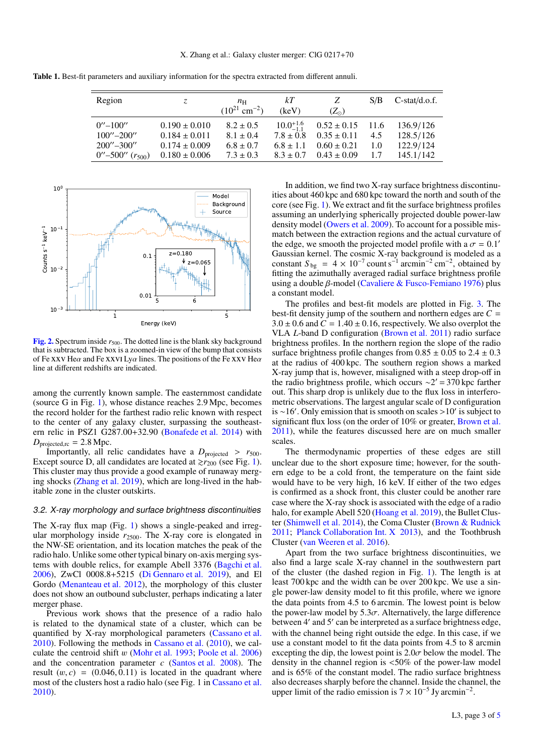<span id="page-2-0"></span>Table 1. Best-fit parameters and auxiliary information for the spectra extracted from different annuli.

| Region                                     | Z.                | $n_{\rm H}$                   | kТ                   | Ζ               | S/B  | $C-stat/d.o.f.$ |
|--------------------------------------------|-------------------|-------------------------------|----------------------|-----------------|------|-----------------|
|                                            |                   | $(10^{21}$ cm <sup>-2</sup> ) | (keV)                | $(Z_{\odot})$   |      |                 |
| $0^{\prime\prime}$ – 100 $^{\prime\prime}$ | $0.190 \pm 0.010$ | $8.2 \pm 0.5$                 | $10.0^{+1.6}_{-1.1}$ | $0.52 \pm 0.15$ | 11.6 | 136.9/126       |
| $100^{\prime\prime} - 200^{\prime\prime}$  | $0.184 \pm 0.011$ | $8.1 \pm 0.4$                 | $7.8 \pm 0.8$        | $0.35 \pm 0.11$ | 4.5  | 128.5/126       |
| $200^{\prime\prime} - 300^{\prime\prime}$  | $0.174 \pm 0.009$ | $6.8 \pm 0.7$                 | $6.8 \pm 1.1$        | $0.60 \pm 0.21$ | 1.0  | 122.9/124       |
| $0^{\prime\prime}$ –500'' $(r_{500})$      | $0.180 \pm 0.006$ | $7.3 \pm 0.3$                 | $8.3 \pm 0.7$        | $0.43 \pm 0.09$ | 17   | 145.1/142       |
|                                            |                   |                               |                      |                 |      |                 |



<span id="page-2-1"></span>[Fig. 2.](https://dexter.edpsciences.org/applet.php?DOI=10.1051/0004-6361/202039028&pdf_id=2) Spectrum inside  $r_{500}$ . The dotted line is the blank sky background that is subtracted. The box is a zoomed-in view of the bump that consists of Fe xxv He $\alpha$  and Fe xxvI Ly $\alpha$  lines. The positions of the Fe xxv He $\alpha$ line at different redshifts are indicated.

among the currently known sample. The easternmost candidate (source G in Fig. [1\)](#page-1-0), whose distance reaches 2.9 Mpc, becomes the record holder for the farthest radio relic known with respect to the center of any galaxy cluster, surpassing the southeastern relic in PSZ1 G287.00+32.90 [\(Bonafede et al.](#page-4-21) [2014\)](#page-4-21) with  $D_{\text{projected,rc}} = 2.8 \text{ Mpc}.$ 

Importantly, all relic candidates have a  $D_{projected} > r_{500}$ . Except source D, all candidates are located at  $\gtrsim r_{200}$  (see Fig. [1\)](#page-1-0). This cluster may thus provide a good example of runaway merging shocks [\(Zhang et al.](#page-4-22) [2019\)](#page-4-22), which are long-lived in the habitable zone in the cluster outskirts.

#### 3.2. X-ray morphology and surface brightness discontinuities

The X-ray flux map (Fig. [1\)](#page-1-0) shows a single-peaked and irregular morphology inside  $r_{2500}$ . The X-ray core is elongated in the NW-SE orientation, and its location matches the peak of the radio halo. Unlike some other typical binary on-axis merging systems with double relics, for example Abell 3376 [\(Bagchi et al.](#page-4-23) [2006\)](#page-4-23), ZwCl 0008.8+5215 [\(Di Gennaro et al.](#page-4-24) [2019\)](#page-4-24), and El Gordo [\(Menanteau et al.](#page-4-25) [2012\)](#page-4-25), the morphology of this cluster does not show an outbound subcluster, perhaps indicating a later merger phase.

Previous work shows that the presence of a radio halo is related to the dynamical state of a cluster, which can be quantified by X-ray morphological parameters [\(Cassano et al.](#page-4-26) [2010\)](#page-4-26). Following the methods in [Cassano et al.](#page-4-26) [\(2010\)](#page-4-26), we calculate the centroid shift w [\(Mohr et al.](#page-4-27) [1993;](#page-4-27) [Poole et al.](#page-4-28) [2006\)](#page-4-28) and the concentration parameter *c* [\(Santos et al.](#page-4-29) [2008\)](#page-4-29). The result  $(w, c) = (0.046, 0.11)$  is located in the quadrant where most of the clusters host a radio halo (see Fig. 1 in [Cassano et al.](#page-4-26) [2010\)](#page-4-26).

In addition, we find two X-ray surface brightness discontinuities about 460 kpc and 680 kpc toward the north and south of the core (see Fig. [1\)](#page-1-0). We extract and fit the surface brightness profiles assuming an underlying spherically projected double power-law density model [\(Owers et al.](#page-4-30) [2009\)](#page-4-30). To account for a possible mismatch between the extraction regions and the actual curvature of the edge, we smooth the projected model profile with a  $\sigma = 0.1$ <sup>o</sup> Gaussian kernel. The cosmic X-ray background is modeled as a Gaussian kernel. The cosmic X-ray background is modeled as a constant  $S_{bg} = 4 \times 10^{-7}$  count s<sup>-1</sup> arcmin<sup>-2</sup> cm<sup>-2</sup>, obtained by fitting the azimuthally averaged radial surface brightness profile using a double β-model [\(Cavaliere & Fusco-Femiano](#page-4-31) [1976\)](#page-4-31) plus a constant model.

The profiles and best-fit models are plotted in Fig. [3.](#page-3-0) The best-fit density jump of the southern and northern edges are  $C =$  $3.0 \pm 0.6$  and  $C = 1.40 \pm 0.16$ , respectively. We also overplot the VLA *L*-band D configuration [\(Brown et al.](#page-4-5) [2011\)](#page-4-5) radio surface brightness profiles. In the northern region the slope of the radio surface brightness profile changes from  $0.85 \pm 0.05$  to  $2.4 \pm 0.3$ at the radius of 400 kpc. The southern region shows a marked X-ray jump that is, however, misaligned with a steep drop-off in the radio brightness profile, which occurs  $\sim$ 2′ = 370 kpc farther out. This sharp drop is unlikely due to the flux loss in interferometric observations. The largest angular scale of D configuration is ~16'. Only emission that is smooth on scales >10' is subject to significant flux loss (on the order of 10% or greater Brown et al. significant flux loss (on the order of 10% or greater, [Brown et al.](#page-4-5) [2011\)](#page-4-5), while the features discussed here are on much smaller scales.

The thermodynamic properties of these edges are still unclear due to the short exposure time; however, for the southern edge to be a cold front, the temperature on the faint side would have to be very high, 16 keV. If either of the two edges is confirmed as a shock front, this cluster could be another rare case where the X-ray shock is associated with the edge of a radio halo, for example Abell 520 [\(Hoang et al.](#page-4-32) [2019\)](#page-4-32), the Bullet Cluster [\(Shimwell et al.](#page-4-33) [2014\)](#page-4-33), the Coma Cluster [\(Brown & Rudnick](#page-4-34) [2011;](#page-4-34) [Planck Collaboration Int. X](#page-4-35) [2013\)](#page-4-35), and the Toothbrush Cluster [\(van Weeren et al.](#page-4-36) [2016\)](#page-4-36).

Apart from the two surface brightness discontinuities, we also find a large scale X-ray channel in the southwestern part of the cluster (the dashed region in Fig. [1\)](#page-1-0). The length is at least 700 kpc and the width can be over 200 kpc. We use a single power-law density model to fit this profile, where we ignore the data points from 4.5 to 6 arcmin. The lowest point is below the power-law model by  $5.3\sigma$ . Alternatively, the large difference between 4' and 5' can be interpreted as a surface brightness edge, with the channel being right outside the edge. In this case, if we use a constant model to fit the data points from 4.5 to 8 arcmin excepting the dip, the lowest point is  $2.0\sigma$  below the model. The density in the channel region is <50% of the power-law model and is 65% of the constant model. The radio surface brightness also decreases sharply before the channel. Inside the channel, the upper limit of the radio emission is  $7 \times 10^{-5}$  Jy arcmin<sup>-2</sup>.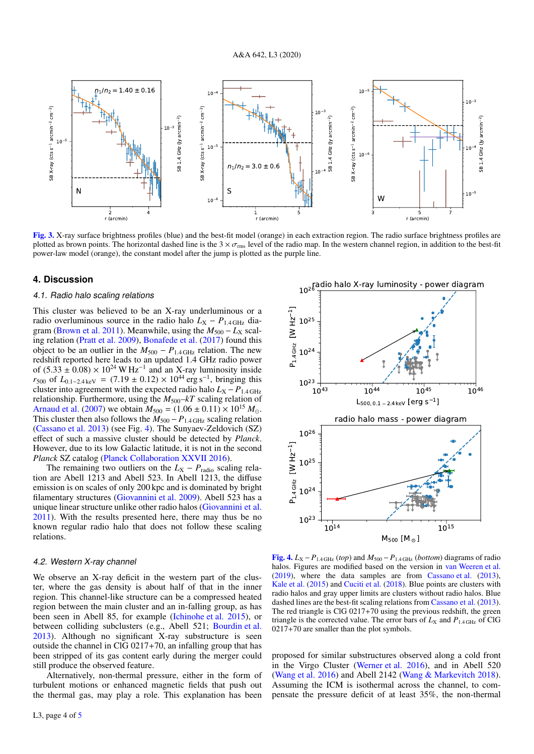

<span id="page-3-0"></span>[Fig. 3.](https://dexter.edpsciences.org/applet.php?DOI=10.1051/0004-6361/202039028&pdf_id=3) X-ray surface brightness profiles (blue) and the best-fit model (orange) in each extraction region. The radio surface brightness profiles are plotted as brown points. The horizontal dashed line is the  $3 \times \sigma_{\rm rms}$  level of the radio map. In the western channel region, in addition to the best-fit power-law model (orange), the constant model after the jump is plotted as the purple line.

## **4. Discussion**

#### 4.1. Radio halo scaling relations

This cluster was believed to be an X-ray underluminous or a radio overluminous source in the radio halo  $L_X - P_{1.4 \text{ GHz}}$  dia-gram [\(Brown et al.](#page-4-5) [2011\)](#page-4-5). Meanwhile, using the  $M_{500} - L_X$  scaling relation [\(Pratt et al.](#page-4-37) [2009\)](#page-4-37), [Bonafede et al.](#page-4-38) [\(2017\)](#page-4-38) found this object to be an outlier in the  $M_{500} - P_{1.4 \text{ GHz}}$  relation. The new redshift reported here leads to an updated 1.4 GHz radio power of  $(5.33 \pm 0.08) \times 10^{24}$  W Hz<sup>-1</sup> and an X-ray luminosity inside<br>rsoc of  $I_{0.1,2.4}$  love  $\equiv (7.19 \pm 0.12) \times 10^{44}$  erg s<sup>-1</sup> bringing this  $r_{500}$  of  $L_{0.1-2.4 \text{ keV}} = (7.19 \pm 0.12) \times 10^{44} \text{ erg s}^{-1}$ , bringing this cluster into agreement with the expected radio halo  $L_x - P_{1.4 \text{ GHz}}$ cluster into agreement with the expected radio halo  $L_X - P_{1.4 \text{ GHz}}$ relationship. Furthermore, using the  $M_{500}$ - $kT$  scaling relation of [Arnaud et al.](#page-4-39) [\(2007\)](#page-4-39) we obtain  $M_{500} = (1.06 \pm 0.11) \times 10^{15} M_{\odot}$ . This cluster then also follows the  $M_{500} - P_{1.4 \text{ GHz}}$  scaling relation [\(Cassano et al.](#page-4-7) [2013\)](#page-4-7) (see Fig. [4\)](#page-3-1). The Sunyaev-Zeldovich (SZ) effect of such a massive cluster should be detected by *Planck*. However, due to its low Galactic latitude, it is not in the second *Planck* SZ catalog [\(Planck Collaboration XXVII](#page-4-40) [2016\)](#page-4-40).

The remaining two outliers on the  $L_X - P_{\text{radio}}$  scaling relation are Abell 1213 and Abell 523. In Abell 1213, the diffuse emission is on scales of only 200 kpc and is dominated by bright filamentary structures [\(Giovannini et al.](#page-4-41) [2009\)](#page-4-41). Abell 523 has a unique linear structure unlike other radio halos [\(Giovannini et al.](#page-4-42) [2011\)](#page-4-42). With the results presented here, there may thus be no known regular radio halo that does not follow these scaling relations.

#### 4.2. Western X-ray channel

We observe an X-ray deficit in the western part of the cluster, where the gas density is about half of that in the inner region. This channel-like structure can be a compressed heated region between the main cluster and an in-falling group, as has been seen in Abell 85, for example [\(Ichinohe et al.](#page-4-43) [2015\)](#page-4-43), or between colliding subclusters (e.g., Abell 521; [Bourdin et al.](#page-4-44) [2013\)](#page-4-44). Although no significant X-ray substructure is seen outside the channel in ClG  $0217+70$ , an infalling group that has been stripped of its gas content early during the merger could still produce the observed feature.

Alternatively, non-thermal pressure, either in the form of turbulent motions or enhanced magnetic fields that push out the thermal gas, may play a role. This explanation has been



<span id="page-3-1"></span>[Fig. 4.](https://dexter.edpsciences.org/applet.php?DOI=10.1051/0004-6361/202039028&pdf_id=4)  $L_X - P_{1.4 \text{ GHz}} (top)$  and  $M_{500} - P_{1.4 \text{ GHz}} (bottom)$  diagrams of radio halos. Figures are modified based on the version in [van Weeren et al.](#page-4-1) [\(2019\)](#page-4-1), where the data samples are from [Cassano et al.](#page-4-7) [\(2013\)](#page-4-7), [Kale et al.](#page-4-45) [\(2015\)](#page-4-45) and [Cuciti et al.](#page-4-46) [\(2018\)](#page-4-46). Blue points are clusters with radio halos and gray upper limits are clusters without radio halos. Blue dashed lines are the best-fit scaling relations from [Cassano et al.](#page-4-7) [\(2013\)](#page-4-7). The red triangle is ClG 0217+70 using the previous redshift, the green triangle is the corrected value. The error bars of  $L_X$  and  $P_{1.4\,\text{GHz}}$  of ClG 0217+70 are smaller than the plot symbols.

proposed for similar substructures observed along a cold front in the Virgo Cluster [\(Werner et al.](#page-4-47) [2016\)](#page-4-47), and in Abell 520 [\(Wang et al.](#page-4-48) [2016\)](#page-4-48) and Abell 2142 [\(Wang & Markevitch](#page-4-49) [2018\)](#page-4-49). Assuming the ICM is isothermal across the channel, to compensate the pressure deficit of at least 35%, the non-thermal